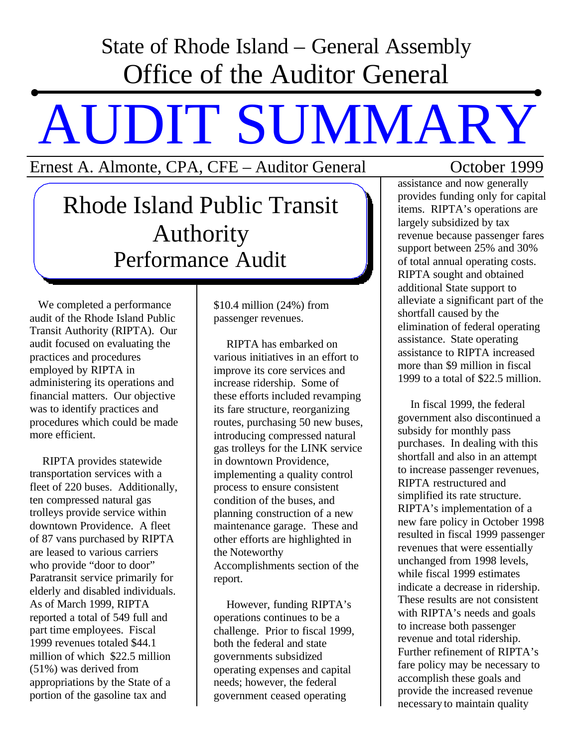## State of Rhode Island – General Assembly Office of the Auditor General

## AUDIT SUMMARY

Ernest A. Almonte, CPA, CFE – Auditor General October 1999

Rhode Island Public Transit Authority Performance Audit

We completed a performance audit of the Rhode Island Public Transit Authority (RIPTA). Our audit focused on evaluating the practices and procedures employed by RIPTA in administering its operations and financial matters. Our objective was to identify practices and procedures which could be made more efficient.

RIPTA provides statewide transportation services with a fleet of 220 buses. Additionally, ten compressed natural gas trolleys provide service within downtown Providence. A fleet of 87 vans purchased by RIPTA are leased to various carriers who provide "door to door" Paratransit service primarily for elderly and disabled individuals. As of March 1999, RIPTA reported a total of 549 full and part time employees. Fiscal 1999 revenues totaled \$44.1 million of which \$22.5 million (51%) was derived from appropriations by the State of a portion of the gasoline tax and

\$10.4 million (24%) from passenger revenues.

RIPTA has embarked on various initiatives in an effort to improve its core services and increase ridership. Some of these efforts included revamping its fare structure, reorganizing routes, purchasing 50 new buses, introducing compressed natural gas trolleys for the LINK service in downtown Providence, implementing a quality control process to ensure consistent condition of the buses, and planning construction of a new maintenance garage. These and other efforts are highlighted in the Noteworthy Accomplishments section of the report.

However, funding RIPTA's operations continues to be a challenge. Prior to fiscal 1999, both the federal and state governments subsidized operating expenses and capital needs; however, the federal government ceased operating

assistance and now generally provides funding only for capital items. RIPTA's operations are largely subsidized by tax revenue because passenger fares support between 25% and 30% of total annual operating costs. RIPTA sought and obtained additional State support to alleviate a significant part of the shortfall caused by the elimination of federal operating assistance. State operating assistance to RIPTA increased more than \$9 million in fiscal 1999 to a total of \$22.5 million.

In fiscal 1999, the federal government also discontinued a subsidy for monthly pass purchases. In dealing with this shortfall and also in an attempt to increase passenger revenues, RIPTA restructured and simplified its rate structure. RIPTA's implementation of a new fare policy in October 1998 resulted in fiscal 1999 passenger revenues that were essentially unchanged from 1998 levels, while fiscal 1999 estimates indicate a decrease in ridership. These results are not consistent with RIPTA's needs and goals to increase both passenger revenue and total ridership. Further refinement of RIPTA's fare policy may be necessary to accomplish these goals and provide the increased revenue necessary to maintain quality